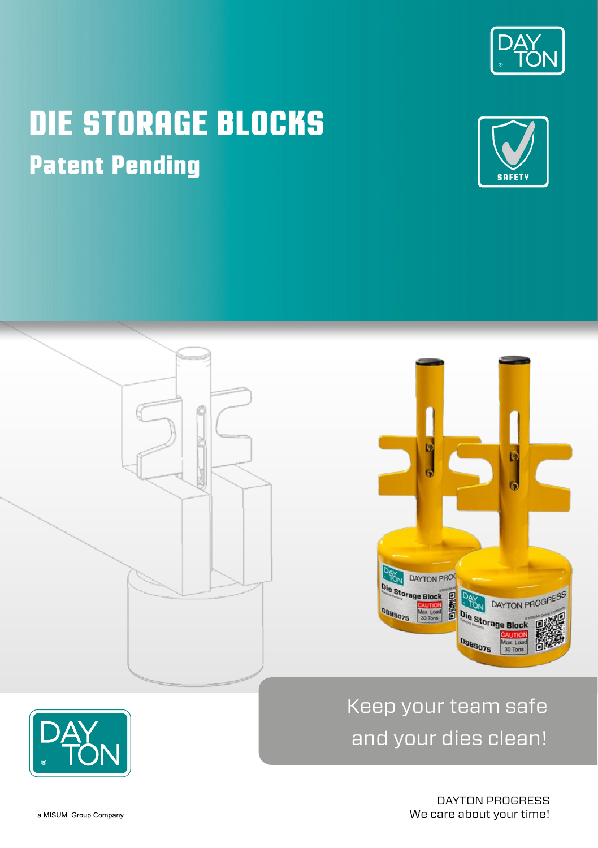

# **DIE STORAGE BLOCKS Patent Pending**







## Keep your team safe and your dies clean!

DAYTON PROGRESS We care about your time!

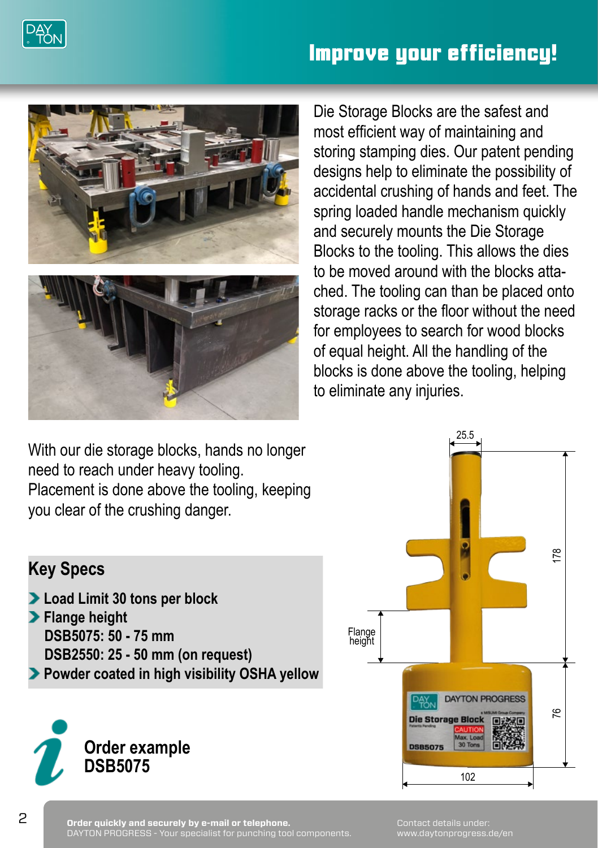

### **Improve your efficiency!**



Die Storage Blocks are the safest and most efficient way of maintaining and storing stamping dies. Our patent pending designs help to eliminate the possibility of accidental crushing of hands and feet. The spring loaded handle mechanism quickly and securely mounts the Die Storage Blocks to the tooling. This allows the dies to be moved around with the blocks attached. The tooling can than be placed onto storage racks or the floor without the need for employees to search for wood blocks of equal height. All the handling of the blocks is done above the tooling, helping to eliminate any injuries.

With our die storage blocks, hands no longer need to reach under heavy tooling. Placement is done above the tooling, keeping you clear of the crushing danger.



#### **Key Specs**

- **Load Limit 30 tons per block**
- **Flange height DSB5075: 50 - 75 mm DSB2550: 25 - 50 mm (on request)**
- **Powder coated in high visibility OSHA yellow**



Contact details under: www.daytonprogress.de/en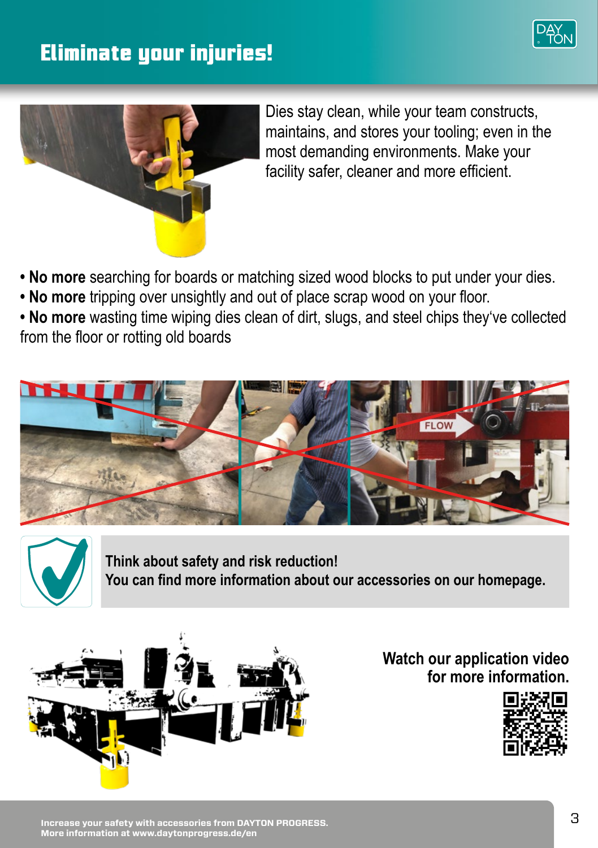### **Eliminate your injuries!**





Dies stay clean, while your team constructs, maintains, and stores your tooling; even in the most demanding environments. Make your facility safer, cleaner and more efficient.

- **No more** searching for boards or matching sized wood blocks to put under your dies.
- **No more** tripping over unsightly and out of place scrap wood on your floor.

• No more wasting time wiping dies clean of dirt, slugs, and steel chips they've collected from the floor or rotting old boards





**Think about safety and risk reduction! You can find more information about our accessories on our homepage.**



**Watch our application video for more information.**